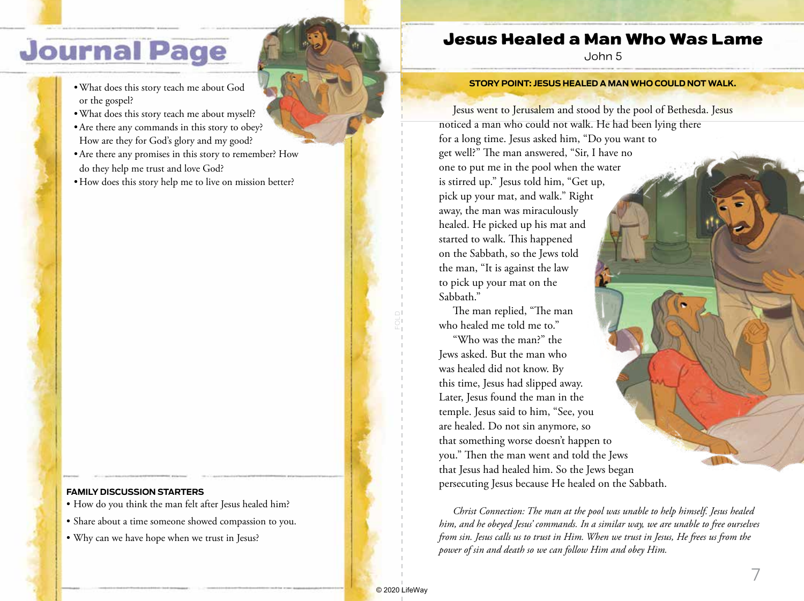# **Journal Page**

- •What does this story teach me about God or the gospel?
- •What does this story teach me about myself?
- •Are there any commands in this story to obey? How are they for God's glory and my good?
- •Are there any promises in this story to remember? How do they help me trust and love God?
- How does this story help me to live on mission better?

#### **FAMILY DISCUSSION STARTERS**

- How do you think the man felt after Jesus healed him?
- Share about a time someone showed compassion to you.
- Why can we have hope when we trust in Jesus?

### Jesus Healed a Man Who Was Lame

John 5

#### **STORY POINT: JESUS HEALED A MAN WHO COULD NOT WALK.**

Jesus went to Jerusalem and stood by the pool of Bethesda. Jesus noticed a man who could not walk. He had been lying there for a long time. Jesus asked him, "Do you want to get well?" The man answered, "Sir, I have no one to put me in the pool when the water is stirred up." Jesus told him, "Get up, pick up your mat, and walk." Right away, the man was miraculously healed. He picked up his mat and started to walk. This happened on the Sabbath, so the Jews told the man, "It is against the law to pick up your mat on the Sabbath." The man replied, "The man who healed me told me to." "Who was the man?" the

Jews asked. But the man who was healed did not know. By this time, Jesus had slipped away. Later, Jesus found the man in the temple. Jesus said to him, "See, you are healed. Do not sin anymore, so that something worse doesn't happen to you." Then the man went and told the Jews that Jesus had healed him. So the Jews began persecuting Jesus because He healed on the Sabbath.

*Christ Connection: The man at the pool was unable to help himself. Jesus healed him, and he obeyed Jesus' commands. In a similar way, we are unable to free ourselves from sin. Jesus calls us to trust in Him. When we trust in Jesus, He frees us from the power of sin and death so we can follow Him and obey Him.*